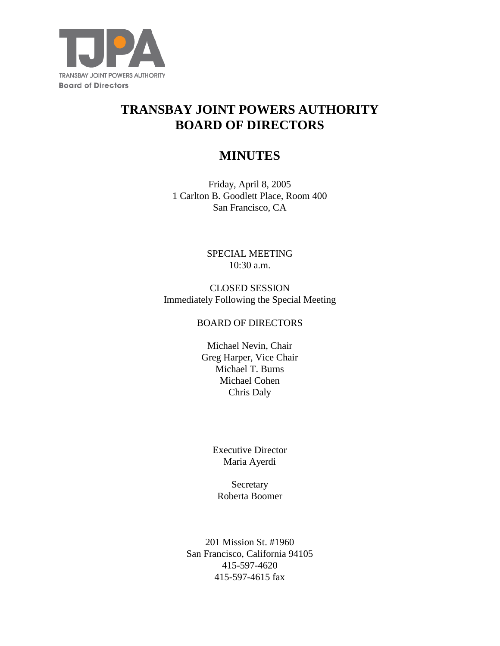

# **TRANSBAY JOINT POWERS AUTHORITY BOARD OF DIRECTORS**

# **MINUTES**

Friday, April 8, 2005 1 Carlton B. Goodlett Place, Room 400 San Francisco, CA

> SPECIAL MEETING 10:30 a.m.

CLOSED SESSION Immediately Following the Special Meeting

#### BOARD OF DIRECTORS

Michael Nevin, Chair Greg Harper, Vice Chair Michael T. Burns Michael Cohen Chris Daly

> Executive Director Maria Ayerdi

Secretary Roberta Boomer

201 Mission St. #1960 San Francisco, California 94105 415-597-4620 415-597-4615 fax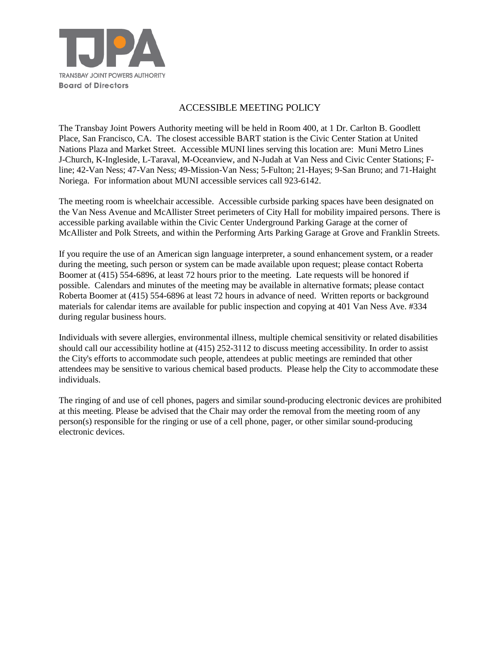

## ACCESSIBLE MEETING POLICY

The Transbay Joint Powers Authority meeting will be held in Room 400, at 1 Dr. Carlton B. Goodlett Place, San Francisco, CA. The closest accessible BART station is the Civic Center Station at United Nations Plaza and Market Street. Accessible MUNI lines serving this location are: Muni Metro Lines J-Church, K-Ingleside, L-Taraval, M-Oceanview, and N-Judah at Van Ness and Civic Center Stations; Fline; 42-Van Ness; 47-Van Ness; 49-Mission-Van Ness; 5-Fulton; 21-Hayes; 9-San Bruno; and 71-Haight Noriega. For information about MUNI accessible services call 923-6142.

The meeting room is wheelchair accessible. Accessible curbside parking spaces have been designated on the Van Ness Avenue and McAllister Street perimeters of City Hall for mobility impaired persons. There is accessible parking available within the Civic Center Underground Parking Garage at the corner of McAllister and Polk Streets, and within the Performing Arts Parking Garage at Grove and Franklin Streets.

If you require the use of an American sign language interpreter, a sound enhancement system, or a reader during the meeting, such person or system can be made available upon request; please contact Roberta Boomer at (415) 554-6896, at least 72 hours prior to the meeting. Late requests will be honored if possible. Calendars and minutes of the meeting may be available in alternative formats; please contact Roberta Boomer at (415) 554-6896 at least 72 hours in advance of need. Written reports or background materials for calendar items are available for public inspection and copying at 401 Van Ness Ave. #334 during regular business hours.

Individuals with severe allergies, environmental illness, multiple chemical sensitivity or related disabilities should call our accessibility hotline at (415) 252-3112 to discuss meeting accessibility. In order to assist the City's efforts to accommodate such people, attendees at public meetings are reminded that other attendees may be sensitive to various chemical based products. Please help the City to accommodate these individuals.

The ringing of and use of cell phones, pagers and similar sound-producing electronic devices are prohibited at this meeting. Please be advised that the Chair may order the removal from the meeting room of any person(s) responsible for the ringing or use of a cell phone, pager, or other similar sound-producing electronic devices.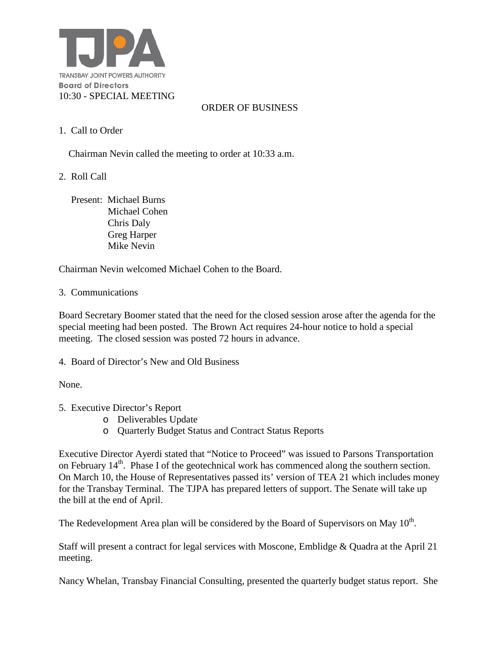

#### ORDER OF BUSINESS

1. Call to Order

Chairman Nevin called the meeting to order at 10:33 a.m.

2. Roll Call

 Present: Michael Burns Michael Cohen Chris Daly Greg Harper Mike Nevin

Chairman Nevin welcomed Michael Cohen to the Board.

#### 3. Communications

Board Secretary Boomer stated that the need for the closed session arose after the agenda for the special meeting had been posted. The Brown Act requires 24-hour notice to hold a special meeting. The closed session was posted 72 hours in advance.

4. Board of Director's New and Old Business

None.

- 5. Executive Director's Report
	- o Deliverables Update
	- o Quarterly Budget Status and Contract Status Reports

Executive Director Ayerdi stated that "Notice to Proceed" was issued to Parsons Transportation on February 14<sup>th</sup>. Phase I of the geotechnical work has commenced along the southern section. On March 10, the House of Representatives passed its' version of TEA 21 which includes money for the Transbay Terminal. The TJPA has prepared letters of support. The Senate will take up the bill at the end of April.

The Redevelopment Area plan will be considered by the Board of Supervisors on May 10<sup>th</sup>.

Staff will present a contract for legal services with Moscone, Emblidge & Quadra at the April 21 meeting.

Nancy Whelan, Transbay Financial Consulting, presented the quarterly budget status report. She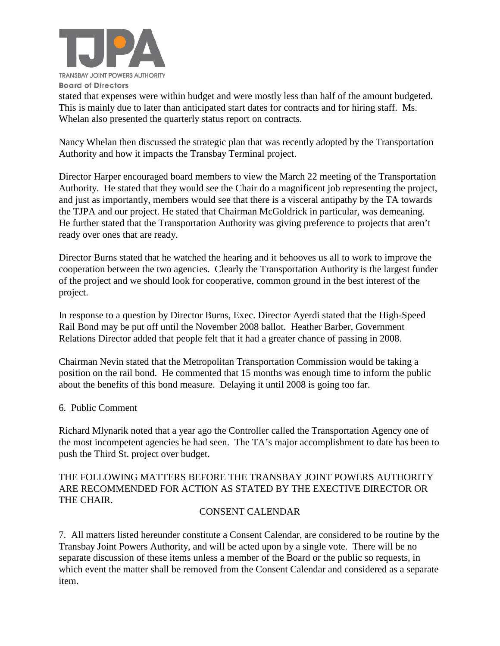

stated that expenses were within budget and were mostly less than half of the amount budgeted. This is mainly due to later than anticipated start dates for contracts and for hiring staff. Ms. Whelan also presented the quarterly status report on contracts.

Nancy Whelan then discussed the strategic plan that was recently adopted by the Transportation Authority and how it impacts the Transbay Terminal project.

Director Harper encouraged board members to view the March 22 meeting of the Transportation Authority. He stated that they would see the Chair do a magnificent job representing the project, and just as importantly, members would see that there is a visceral antipathy by the TA towards the TJPA and our project. He stated that Chairman McGoldrick in particular, was demeaning. He further stated that the Transportation Authority was giving preference to projects that aren't ready over ones that are ready.

Director Burns stated that he watched the hearing and it behooves us all to work to improve the cooperation between the two agencies. Clearly the Transportation Authority is the largest funder of the project and we should look for cooperative, common ground in the best interest of the project.

In response to a question by Director Burns, Exec. Director Ayerdi stated that the High-Speed Rail Bond may be put off until the November 2008 ballot. Heather Barber, Government Relations Director added that people felt that it had a greater chance of passing in 2008.

Chairman Nevin stated that the Metropolitan Transportation Commission would be taking a position on the rail bond. He commented that 15 months was enough time to inform the public about the benefits of this bond measure. Delaying it until 2008 is going too far.

#### 6. Public Comment

Richard Mlynarik noted that a year ago the Controller called the Transportation Agency one of the most incompetent agencies he had seen. The TA's major accomplishment to date has been to push the Third St. project over budget.

# THE FOLLOWING MATTERS BEFORE THE TRANSBAY JOINT POWERS AUTHORITY ARE RECOMMENDED FOR ACTION AS STATED BY THE EXECTIVE DIRECTOR OR THE CHAIR.

## CONSENT CALENDAR

7. All matters listed hereunder constitute a Consent Calendar, are considered to be routine by the Transbay Joint Powers Authority, and will be acted upon by a single vote. There will be no separate discussion of these items unless a member of the Board or the public so requests, in which event the matter shall be removed from the Consent Calendar and considered as a separate item.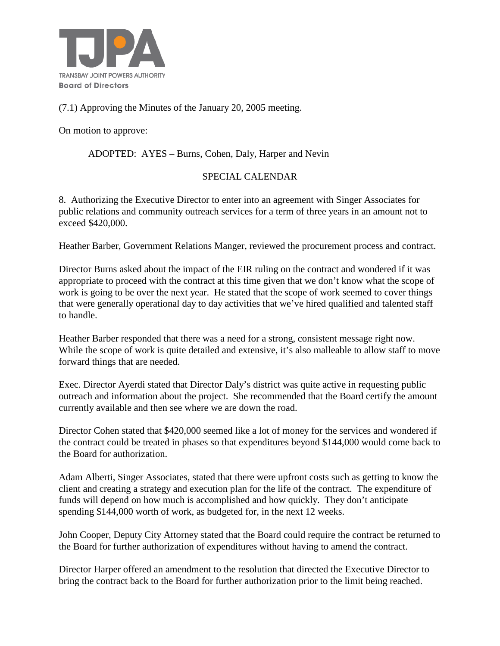

# (7.1) Approving the Minutes of the January 20, 2005 meeting.

On motion to approve:

ADOPTED: AYES – Burns, Cohen, Daly, Harper and Nevin

## SPECIAL CALENDAR

8. Authorizing the Executive Director to enter into an agreement with Singer Associates for public relations and community outreach services for a term of three years in an amount not to exceed \$420,000.

Heather Barber, Government Relations Manger, reviewed the procurement process and contract.

Director Burns asked about the impact of the EIR ruling on the contract and wondered if it was appropriate to proceed with the contract at this time given that we don't know what the scope of work is going to be over the next year. He stated that the scope of work seemed to cover things that were generally operational day to day activities that we've hired qualified and talented staff to handle.

Heather Barber responded that there was a need for a strong, consistent message right now. While the scope of work is quite detailed and extensive, it's also malleable to allow staff to move forward things that are needed.

Exec. Director Ayerdi stated that Director Daly's district was quite active in requesting public outreach and information about the project. She recommended that the Board certify the amount currently available and then see where we are down the road.

Director Cohen stated that \$420,000 seemed like a lot of money for the services and wondered if the contract could be treated in phases so that expenditures beyond \$144,000 would come back to the Board for authorization.

Adam Alberti, Singer Associates, stated that there were upfront costs such as getting to know the client and creating a strategy and execution plan for the life of the contract. The expenditure of funds will depend on how much is accomplished and how quickly. They don't anticipate spending \$144,000 worth of work, as budgeted for, in the next 12 weeks.

John Cooper, Deputy City Attorney stated that the Board could require the contract be returned to the Board for further authorization of expenditures without having to amend the contract.

Director Harper offered an amendment to the resolution that directed the Executive Director to bring the contract back to the Board for further authorization prior to the limit being reached.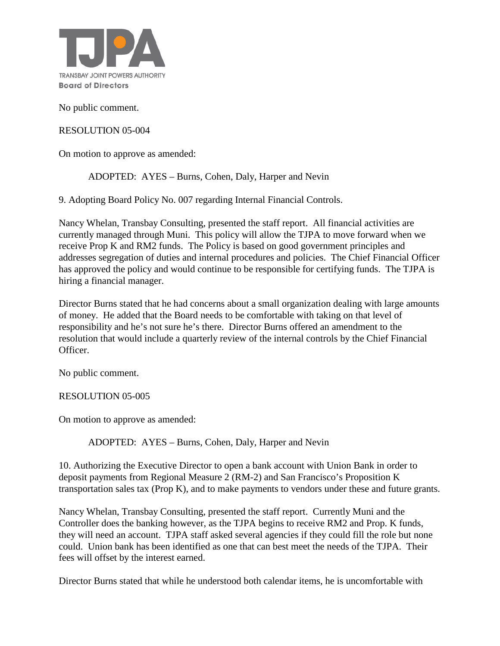

No public comment.

#### RESOLUTION 05-004

On motion to approve as amended:

ADOPTED: AYES – Burns, Cohen, Daly, Harper and Nevin

9. Adopting Board Policy No. 007 regarding Internal Financial Controls.

Nancy Whelan, Transbay Consulting, presented the staff report. All financial activities are currently managed through Muni. This policy will allow the TJPA to move forward when we receive Prop K and RM2 funds. The Policy is based on good government principles and addresses segregation of duties and internal procedures and policies. The Chief Financial Officer has approved the policy and would continue to be responsible for certifying funds. The TJPA is hiring a financial manager.

Director Burns stated that he had concerns about a small organization dealing with large amounts of money. He added that the Board needs to be comfortable with taking on that level of responsibility and he's not sure he's there. Director Burns offered an amendment to the resolution that would include a quarterly review of the internal controls by the Chief Financial Officer.

No public comment.

RESOLUTION 05-005

On motion to approve as amended:

ADOPTED: AYES – Burns, Cohen, Daly, Harper and Nevin

10. Authorizing the Executive Director to open a bank account with Union Bank in order to deposit payments from Regional Measure 2 (RM-2) and San Francisco's Proposition K transportation sales tax (Prop K), and to make payments to vendors under these and future grants.

Nancy Whelan, Transbay Consulting, presented the staff report. Currently Muni and the Controller does the banking however, as the TJPA begins to receive RM2 and Prop. K funds, they will need an account. TJPA staff asked several agencies if they could fill the role but none could. Union bank has been identified as one that can best meet the needs of the TJPA. Their fees will offset by the interest earned.

Director Burns stated that while he understood both calendar items, he is uncomfortable with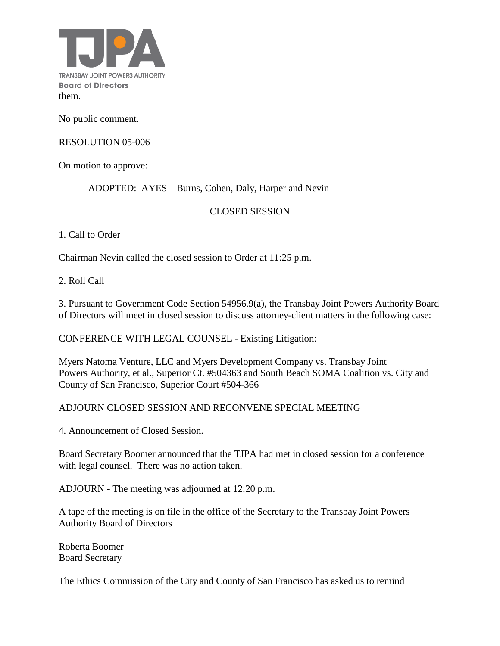

No public comment.

#### RESOLUTION 05-006

On motion to approve:

ADOPTED: AYES – Burns, Cohen, Daly, Harper and Nevin

## CLOSED SESSION

1. Call to Order

Chairman Nevin called the closed session to Order at 11:25 p.m.

2. Roll Call

3. Pursuant to Government Code Section 54956.9(a), the Transbay Joint Powers Authority Board of Directors will meet in closed session to discuss attorney-client matters in the following case:

CONFERENCE WITH LEGAL COUNSEL - Existing Litigation:

Myers Natoma Venture, LLC and Myers Development Company vs. Transbay Joint Powers Authority, et al., Superior Ct. #504363 and South Beach SOMA Coalition vs. City and County of San Francisco, Superior Court #504-366

## ADJOURN CLOSED SESSION AND RECONVENE SPECIAL MEETING

4. Announcement of Closed Session.

Board Secretary Boomer announced that the TJPA had met in closed session for a conference with legal counsel. There was no action taken.

ADJOURN - The meeting was adjourned at 12:20 p.m.

A tape of the meeting is on file in the office of the Secretary to the Transbay Joint Powers Authority Board of Directors

Roberta Boomer Board Secretary

The Ethics Commission of the City and County of San Francisco has asked us to remind